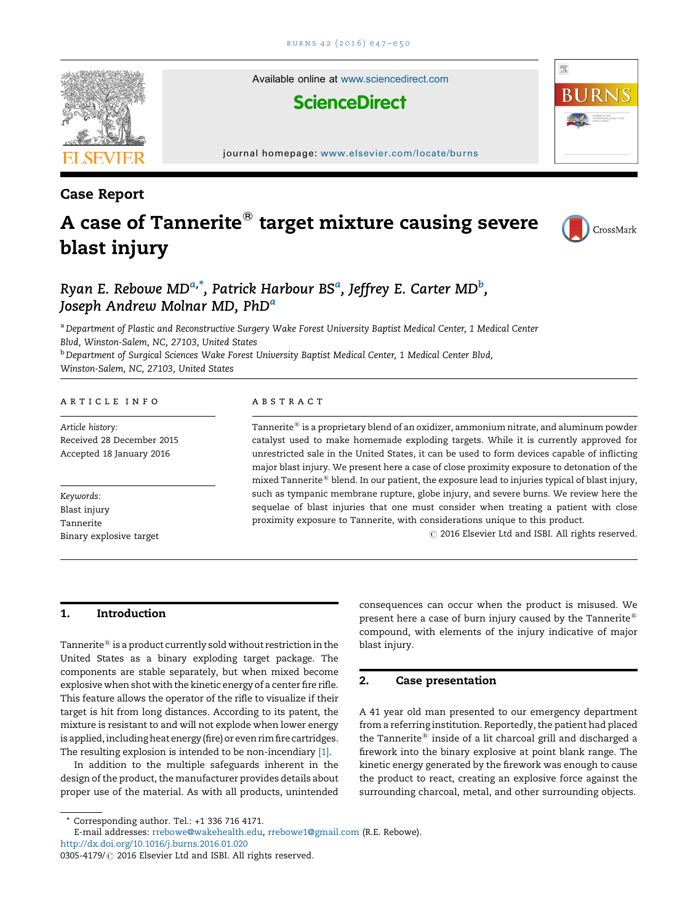

Available online at [www.sciencedirect.com](http://www.sciencedirect.com/science/journal/03054179)

## **ScienceDirect**

journal homepage: <www.elsevier.com/locate/burns>

Case Report

# A case of Tannerite $^{\circledast}$  target mixture causing severe blast injury



骤

### Ryan E. Rebowe MD<sup>a,\*</sup>, Patrick Harbour BS<sup>a</sup>, Jeffrey E. Carter MD<sup>b</sup>, Joseph Andrew Molnar MD, PhD<sup>a</sup>

a Department of Plastic and Reconstructive Surgery Wake Forest University Baptist Medical Center, 1 Medical Center Blvd, Winston-Salem, NC, 27103, United States

<sup>b</sup> Department of Surgical Sciences Wake Forest University Baptist Medical Center, 1 Medical Center Blvd,

Winston-Salem, NC, 27103, United States

#### a r t i c l e i n f o

Article history: Received 28 December 2015 Accepted 18 January 2016

Keywords: Blast injury Tannerite Binary explosive target

#### a b s t r a c t

Tannerite<sup> $\Phi$ </sup> is a proprietary blend of an oxidizer, ammonium nitrate, and aluminum powder catalyst used to make homemade exploding targets. While it is currently approved for unrestricted sale in the United States, it can be used to form devices capable of inflicting major blast injury. We present here a case of close proximity exposure to detonation of the mixed Tannerite<sup>®</sup> blend. In our patient, the exposure lead to injuries typical of blast injury, such as tympanic membrane rupture, globe injury, and severe burns. We review here the sequelae of blast injuries that one must consider when treating a patient with close proximity exposure to Tannerite, with considerations unique to this product.

 $\odot$  2016 Elsevier Ltd and ISBI. All rights reserved.

#### 1. Introduction

Tannerite ${}^{\circledR}$  is a product currently sold without restriction in the United States as a binary exploding target package. The components are stable separately, but when mixed become explosive when shot with the kinetic energy of a center fire rifle. This feature allows the operator of the rifle to visualize if their target is hit from long distances. According to its patent, the mixture is resistant to and will not explode when lower energy is applied, including heat energy (fire) or even rim fire cartridges. The resulting explosion is intended to be non-incendiary [\[1\].](#page-3-0)

In addition to the multiple safeguards inherent in the design of the product, the manufacturer provides details about proper use of the material. As with all products, unintended

 $*$  Corresponding author. Tel.:  $+1$  336 716 4171.

E-mail addresses: [rrebowe@wakehealth.edu,](mailto:rrebowe@wakehealth.edu) [rrebowe1@gmail.com](mailto:rrebowe1@gmail.com) (R.E. Rebowe). <http://dx.doi.org/10.1016/j.burns.2016.01.020>

consequences can occur when the product is misused. We present here a case of burn injury caused by the Tannerite<sup>®</sup> compound, with elements of the injury indicative of major blast injury.

#### 2. Case presentation

A 41 year old man presented to our emergency department from a referring institution. Reportedly, the patient had placed the Tannerite<sup>®</sup> inside of a lit charcoal grill and discharged a firework into the binary explosive at point blank range. The kinetic energy generated by the firework was enough to cause the product to react, creating an explosive force against the surrounding charcoal, metal, and other surrounding objects.

<sup>0305-4179/ @ 2016</sup> Elsevier Ltd and ISBI. All rights reserved.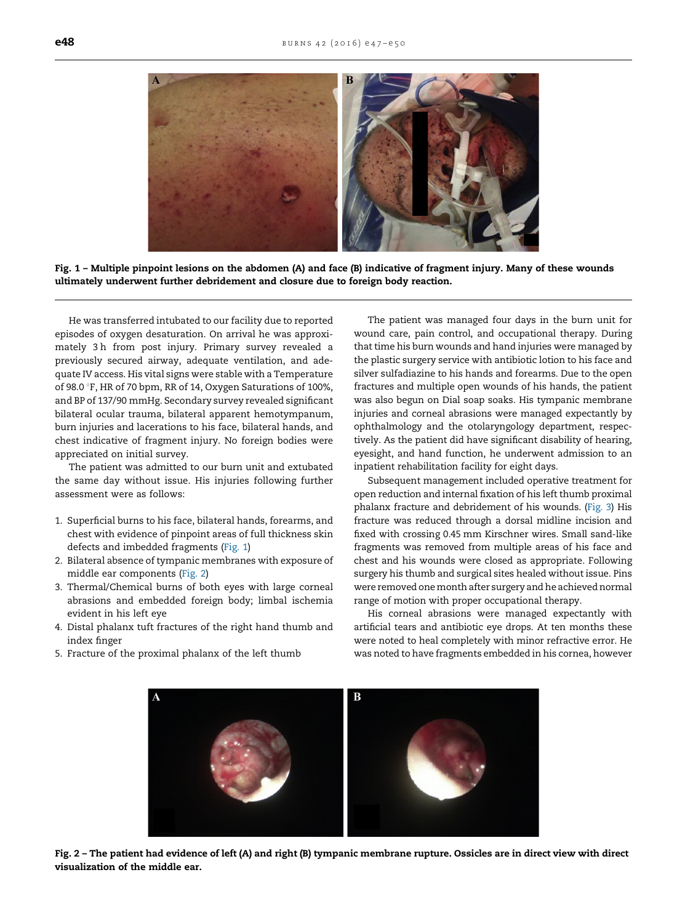

Fig. 1 – Multiple pinpoint lesions on the abdomen (A) and face (B) indicative of fragment injury. Many of these wounds ultimately underwent further debridement and closure due to foreign body reaction.

He was transferred intubated to our facility due to reported episodes of oxygen desaturation. On arrival he was approximately 3 h from post injury. Primary survey revealed a previously secured airway, adequate ventilation, and adequate IV access. His vital signs were stable with a Temperature of 98.0 °F, HR of 70 bpm, RR of 14, Oxygen Saturations of 100%, and BP of 137/90 mmHg. Secondary survey revealed significant bilateral ocular trauma, bilateral apparent hemotympanum, burn injuries and lacerations to his face, bilateral hands, and chest indicative of fragment injury. No foreign bodies were appreciated on initial survey.

The patient was admitted to our burn unit and extubated the same day without issue. His injuries following further assessment were as follows:

- 1. Superficial burns to his face, bilateral hands, forearms, and chest with evidence of pinpoint areas of full thickness skin defects and imbedded fragments (Fig. 1)
- 2. Bilateral absence of tympanic membranes with exposure of middle ear components (Fig. 2)
- 3. Thermal/Chemical burns of both eyes with large corneal abrasions and embedded foreign body; limbal ischemia evident in his left eye
- 4. Distal phalanx tuft fractures of the right hand thumb and index finger
- 5. Fracture of the proximal phalanx of the left thumb

The patient was managed four days in the burn unit for wound care, pain control, and occupational therapy. During that time his burn wounds and hand injuries were managed by the plastic surgery service with antibiotic lotion to his face and silver sulfadiazine to his hands and forearms. Due to the open fractures and multiple open wounds of his hands, the patient was also begun on Dial soap soaks. His tympanic membrane injuries and corneal abrasions were managed expectantly by ophthalmology and the otolaryngology department, respectively. As the patient did have significant disability of hearing, eyesight, and hand function, he underwent admission to an inpatient rehabilitation facility for eight days.

Subsequent management included operative treatment for open reduction and internal fixation of his left thumb proximal phalanx fracture and debridement of his wounds. [\(Fig.](#page-2-0) 3) His fracture was reduced through a dorsal midline incision and fixed with crossing 0.45 mm Kirschner wires. Small sand-like fragments was removed from multiple areas of his face and chest and his wounds were closed as appropriate. Following surgery his thumb and surgical sites healed without issue. Pins were removed one month after surgery and he achieved normal range of motion with proper occupational therapy.

His corneal abrasions were managed expectantly with artificial tears and antibiotic eye drops. At ten months these were noted to heal completely with minor refractive error. He was noted to have fragments embedded in his cornea, however



Fig. 2 – The patient had evidence of left (A) and right (B) tympanic membrane rupture. Ossicles are in direct view with direct visualization of the middle ear.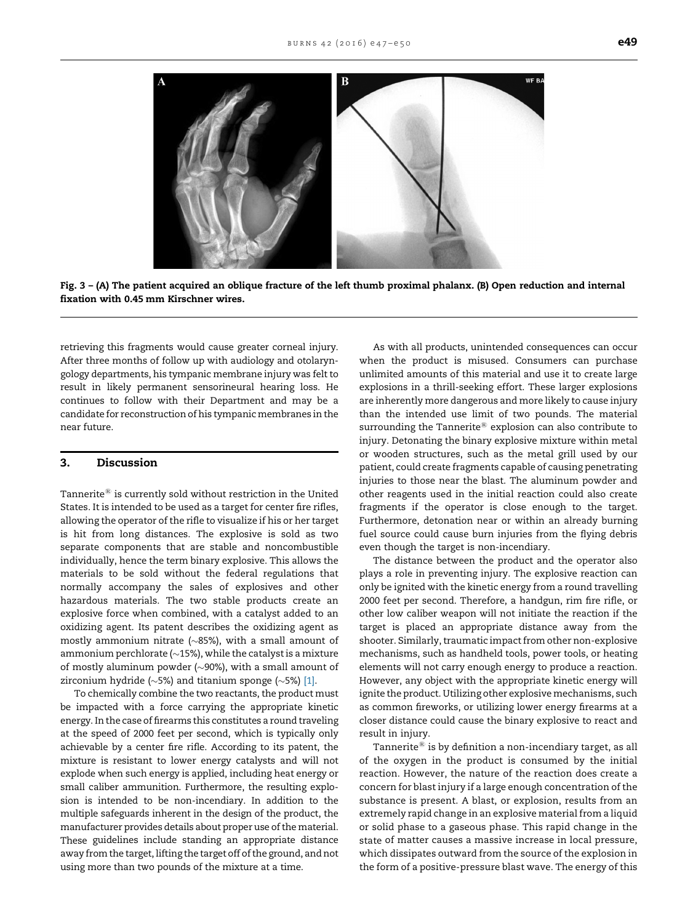<span id="page-2-0"></span>

Fig. 3 – (A) The patient acquired an oblique fracture of the left thumb proximal phalanx. (B) Open reduction and internal fixation with 0.45 mm Kirschner wires.

retrieving this fragments would cause greater corneal injury. After three months of follow up with audiology and otolaryngology departments, his tympanic membrane injury was felt to result in likely permanent sensorineural hearing loss. He continues to follow with their Department and may be a candidate for reconstruction of his tympanic membranes in the near future.

#### 3. Discussion

Tannerite $\mathbb{B}$  is currently sold without restriction in the United States. It is intended to be used as a target for center fire rifles, allowing the operator of the rifle to visualize if his or her target is hit from long distances. The explosive is sold as two separate components that are stable and noncombustible individually, hence the term binary explosive. This allows the materials to be sold without the federal regulations that normally accompany the sales of explosives and other hazardous materials. The two stable products create an explosive force when combined, with a catalyst added to an oxidizing agent. Its patent describes the oxidizing agent as mostly ammonium nitrate (~85%), with a small amount of ammonium perchlorate ( $\sim$ 15%), while the catalyst is a mixture of mostly aluminum powder ( $\sim$ 90%), with a small amount of zirconium hydride (~5%) and titanium sponge (~5%) [\[1\].](#page-3-0)

To chemically combine the two reactants, the product must be impacted with a force carrying the appropriate kinetic energy. In the case of firearms this constitutes a round traveling at the speed of 2000 feet per second, which is typically only achievable by a center fire rifle. According to its patent, the mixture is resistant to lower energy catalysts and will not explode when such energy is applied, including heat energy or small caliber ammunition. Furthermore, the resulting explosion is intended to be non-incendiary. In addition to the multiple safeguards inherent in the design of the product, the manufacturer provides details about proper use of the material. These guidelines include standing an appropriate distance away from the target, lifting the target off of the ground, and not using more than two pounds of the mixture at a time.

As with all products, unintended consequences can occur when the product is misused. Consumers can purchase unlimited amounts of this material and use it to create large explosions in a thrill-seeking effort. These larger explosions are inherently more dangerous and more likely to cause injury than the intended use limit of two pounds. The material surrounding the Tannerite $\mathbb{B}$  explosion can also contribute to injury. Detonating the binary explosive mixture within metal or wooden structures, such as the metal grill used by our patient, could create fragments capable of causing penetrating injuries to those near the blast. The aluminum powder and other reagents used in the initial reaction could also create fragments if the operator is close enough to the target. Furthermore, detonation near or within an already burning fuel source could cause burn injuries from the flying debris even though the target is non-incendiary.

The distance between the product and the operator also plays a role in preventing injury. The explosive reaction can only be ignited with the kinetic energy from a round travelling 2000 feet per second. Therefore, a handgun, rim fire rifle, or other low caliber weapon will not initiate the reaction if the target is placed an appropriate distance away from the shooter. Similarly, traumatic impact from other non-explosive mechanisms, such as handheld tools, power tools, or heating elements will not carry enough energy to produce a reaction. However, any object with the appropriate kinetic energy will ignite the product. Utilizing other explosive mechanisms, such as common fireworks, or utilizing lower energy firearms at a closer distance could cause the binary explosive to react and result in injury.

Tannerite $^{\circledR}$  is by definition a non-incendiary target, as all of the oxygen in the product is consumed by the initial reaction. However, the nature of the reaction does create a concern for blast injury if a large enough concentration of the substance is present. A blast, or explosion, results from an extremely rapid change in an explosive material from a liquid or solid phase to a gaseous phase. This rapid change in the state of matter causes a massive increase in local pressure, which dissipates outward from the source of the explosion in the form of a positive-pressure blast wave. The energy of this